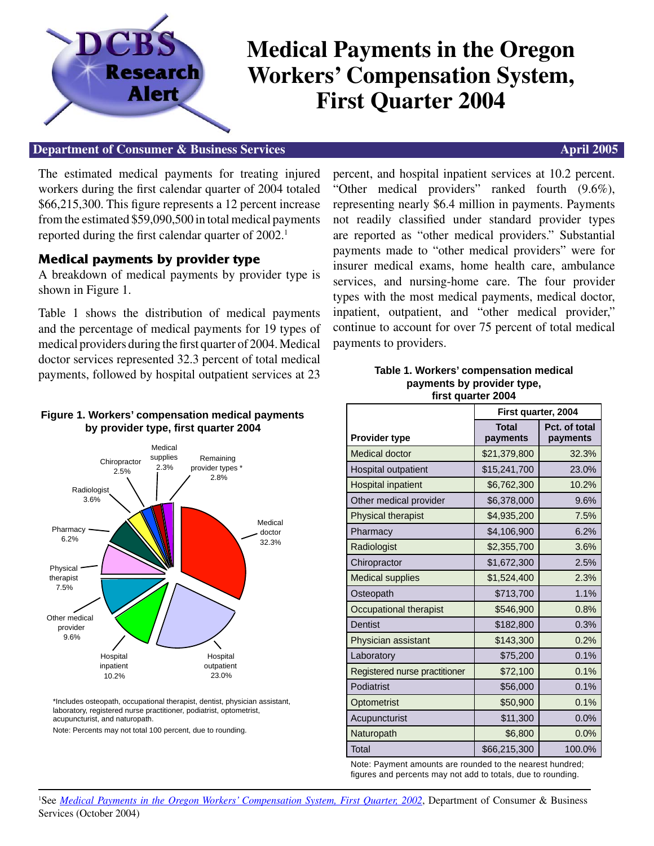

# **Medical Payments in the Oregon Workers' Compensation System, First Quarter 2004**

### **Department of Consumer & Business Services** April 2005

The estimated medical payments for treating injured workers during the first calendar quarter of 2004 totaled \$66,215,300. This figure represents a 12 percent increase from the estimated \$59,090,500 in total medical payments reported during the first calendar quarter of 2002.<sup>1</sup>

## **Medical payments by provider type**

A breakdown of medical payments by provider type is shown in Figure 1.

Table 1 shows the distribution of medical payments and the percentage of medical payments for 19 types of medical providers during the first quarter of 2004. Medical doctor services represented 32.3 percent of total medical payments, followed by hospital outpatient services at 23

#### **Figure 1. Workers' compensation medical payments by provider type, first quarter 2004**



\*Includes osteopath, occupational therapist, dentist, physician assistant, laboratory, registered nurse practitioner, podiatrist, optometrist, acupuncturist, and naturopath.

Note: Percents may not total 100 percent, due to rounding.

percent, and hospital inpatient services at 10.2 percent. "Other medical providers" ranked fourth (9.6%), representing nearly \$6.4 million in payments. Payments not readily classified under standard provider types are reported as "other medical providers." Substantial payments made to "other medical providers" were for insurer medical exams, home health care, ambulance services, and nursing-home care. The four provider types with the most medical payments, medical doctor, inpatient, outpatient, and "other medical provider," continue to account for over 75 percent of total medical payments to providers.

#### **Table 1. Workers' compensation medical payments by provider type, fi rst quarter 2004**

|                               | First quarter, 2004      |                           |
|-------------------------------|--------------------------|---------------------------|
| <b>Provider type</b>          | <b>Total</b><br>payments | Pct. of total<br>payments |
| <b>Medical doctor</b>         | \$21,379,800             | 32.3%                     |
| Hospital outpatient           | \$15,241,700             | 23.0%                     |
| <b>Hospital inpatient</b>     | \$6,762,300              | 10.2%                     |
| Other medical provider        | \$6,378,000              | 9.6%                      |
| Physical therapist            | \$4,935,200              | 7.5%                      |
| Pharmacy                      | \$4,106,900              | 6.2%                      |
| Radiologist                   | \$2,355,700              | 3.6%                      |
| Chiropractor                  | \$1,672,300              | 2.5%                      |
| <b>Medical supplies</b>       | \$1,524,400              | 2.3%                      |
| Osteopath                     | \$713,700                | 1.1%                      |
| Occupational therapist        | \$546,900                | 0.8%                      |
| <b>Dentist</b>                | \$182,800                | 0.3%                      |
| Physician assistant           | \$143,300                | 0.2%                      |
| Laboratory                    | \$75,200                 | 0.1%                      |
| Registered nurse practitioner | \$72,100                 | 0.1%                      |
| Podiatrist                    | \$56,000                 | 0.1%                      |
| Optometrist                   | \$50,900                 | 0.1%                      |
| Acupuncturist                 | \$11,300                 | 0.0%                      |
| Naturopath                    | \$6,800                  | 0.0%                      |
| Total                         | \$66,215,300             | 100.0%                    |

Note: Payment amounts are rounded to the nearest hundred; figures and percents may not add to totals, due to rounding.